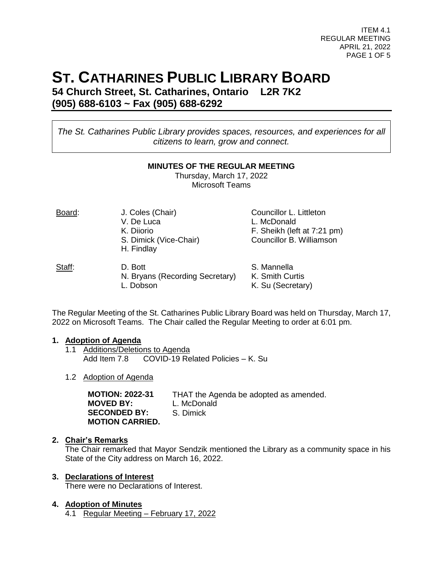ITEM 4.1 REGULAR MEETING APRIL 21, 2022 PAGE 1 OF 5

# **ST. CATHARINES PUBLIC LIBRARY BOARD**

**54 Church Street, St. Catharines, Ontario L2R 7K2 (905) 688-6103 ~ Fax (905) 688-6292**

*The St. Catharines Public Library provides spaces, resources, and experiences for all citizens to learn, grow and connect.*

#### **MINUTES OF THE REGULAR MEETING**

Thursday, March 17, 2022 Microsoft Teams

| Board: | J. Coles (Chair)<br>V. De Luca<br>K. Diiorio<br>S. Dimick (Vice-Chair)<br>H. Findlay | Councillor L. Littleton<br>L. McDonald<br>F. Sheikh (left at 7:21 pm)<br>Councillor B. Williamson |  |  |  |
|--------|--------------------------------------------------------------------------------------|---------------------------------------------------------------------------------------------------|--|--|--|
| Staff: | D. Bott<br>N. Bryans (Recording Secretary)<br>Dobson                                 | S. Mannella<br>K. Smith Curtis<br>K. Su (Secretary)                                               |  |  |  |

The Regular Meeting of the St. Catharines Public Library Board was held on Thursday, March 17, 2022 on Microsoft Teams. The Chair called the Regular Meeting to order at 6:01 pm.

## **1. Adoption of Agenda**

- 1.1 Additions/Deletions to Agenda<br>Add Item 7.8 COVID-19 Re  $COVID-19$  Related Policies – K. Su
- 1.2 Adoption of Agenda

| <b>MOTION: 2022-31</b> | THAT the Agenda be adopted as amended. |
|------------------------|----------------------------------------|
| <b>MOVED BY:</b>       | L. McDonald                            |
| <b>SECONDED BY:</b>    | S. Dimick                              |
| <b>MOTION CARRIED.</b> |                                        |

## **2. Chair's Remarks**

The Chair remarked that Mayor Sendzik mentioned the Library as a community space in his State of the City address on March 16, 2022.

## **3. Declarations of Interest**

There were no Declarations of Interest.

## **4. Adoption of Minutes**

4.1 Regular Meeting – February 17, 2022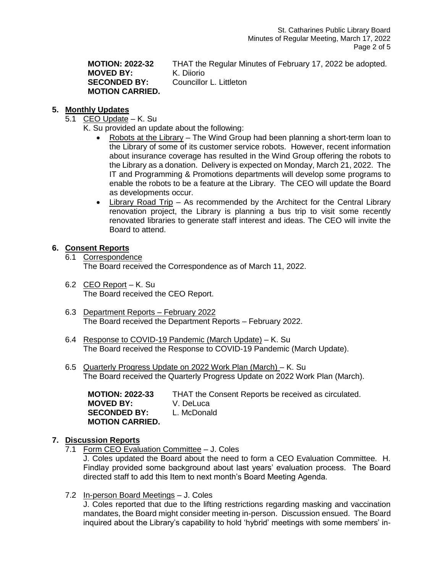## **MOVED BY:** K. Diiorio **MOTION CARRIED.**

**MOTION: 2022-32** THAT the Regular Minutes of February 17, 2022 be adopted. **SECONDED BY:** Councillor L. Littleton

## **5. Monthly Updates**

- 5.1 CEO Update K. Su
	- K. Su provided an update about the following:
		- Robots at the Library The Wind Group had been planning a short-term loan to the Library of some of its customer service robots. However, recent information about insurance coverage has resulted in the Wind Group offering the robots to the Library as a donation. Delivery is expected on Monday, March 21, 2022. The IT and Programming & Promotions departments will develop some programs to enable the robots to be a feature at the Library. The CEO will update the Board as developments occur.
		- Library Road Trip As recommended by the Architect for the Central Library renovation project, the Library is planning a bus trip to visit some recently renovated libraries to generate staff interest and ideas. The CEO will invite the Board to attend.

## **6. Consent Reports**

- 6.1 Correspondence The Board received the Correspondence as of March 11, 2022.
- 6.2 CEO Report K. Su The Board received the CEO Report.
- 6.3 Department Reports February 2022 The Board received the Department Reports – February 2022.
- 6.4 Response to COVID-19 Pandemic (March Update) K. Su The Board received the Response to COVID-19 Pandemic (March Update).
- 6.5 Quarterly Progress Update on 2022 Work Plan (March) K. Su The Board received the Quarterly Progress Update on 2022 Work Plan (March).

| <b>MOTION: 2022-33</b> | THAT the Consent Reports be received as circulated. |
|------------------------|-----------------------------------------------------|
| MOVED BY:              | V. DeLuca                                           |
| <b>SECONDED BY:</b>    | L. McDonald                                         |
| <b>MOTION CARRIED.</b> |                                                     |

## **7. Discussion Reports**

7.1 Form CEO Evaluation Committee – J. Coles

J. Coles updated the Board about the need to form a CEO Evaluation Committee. H. Findlay provided some background about last years' evaluation process. The Board directed staff to add this Item to next month's Board Meeting Agenda.

7.2 In-person Board Meetings – J. Coles

J. Coles reported that due to the lifting restrictions regarding masking and vaccination mandates, the Board might consider meeting in-person. Discussion ensued. The Board inquired about the Library's capability to hold 'hybrid' meetings with some members' in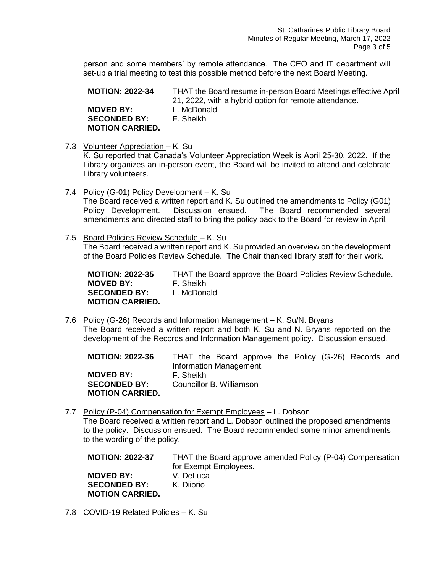person and some members' by remote attendance. The CEO and IT department will set-up a trial meeting to test this possible method before the next Board Meeting.

**MOTION: 2022-34** THAT the Board resume in-person Board Meetings effective April 21, 2022, with a hybrid option for remote attendance. **MOVED BY:** L. McDonald

**SECONDED BY:** F. Sheikh **MOTION CARRIED.**

7.3 Volunteer Appreciation – K. Su

K. Su reported that Canada's Volunteer Appreciation Week is April 25-30, 2022. If the Library organizes an in-person event, the Board will be invited to attend and celebrate Library volunteers.

- 7.4 Policy (G-01) Policy Development K. Su The Board received a written report and K. Su outlined the amendments to Policy (G01) Policy Development. Discussion ensued. The Board recommended several amendments and directed staff to bring the policy back to the Board for review in April.
- 7.5 Board Policies Review Schedule K. Su The Board received a written report and K. Su provided an overview on the development of the Board Policies Review Schedule. The Chair thanked library staff for their work.

**MOTION: 2022-35** THAT the Board approve the Board Policies Review Schedule. **MOVED BY:** F. Sheikh **SECONDED BY:** L. McDonald **MOTION CARRIED.**

7.6 Policy (G-26) Records and Information Management – K. Su/N. Bryans The Board received a written report and both K. Su and N. Bryans reported on the development of the Records and Information Management policy. Discussion ensued.

**MOTION: 2022-36** THAT the Board approve the Policy (G-26) Records and Information Management. **MOVED BY:** F. Sheikh **SECONDED BY:** Councillor B. Williamson **MOTION CARRIED.**

7.7 Policy (P-04) Compensation for Exempt Employees – L. Dobson The Board received a written report and L. Dobson outlined the proposed amendments to the policy. Discussion ensued. The Board recommended some minor amendments to the wording of the policy.

**MOTION: 2022-37** THAT the Board approve amended Policy (P-04) Compensation for Exempt Employees. **MOVED BY:** V. DeLuca **SECONDED BY:** K. Diiorio **MOTION CARRIED.**

7.8 COVID-19 Related Policies – K. Su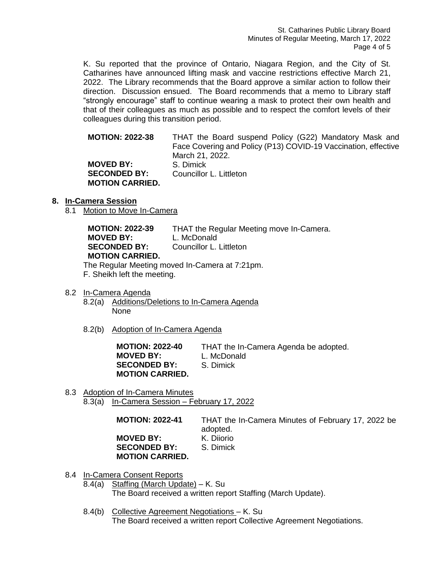K. Su reported that the province of Ontario, Niagara Region, and the City of St. Catharines have announced lifting mask and vaccine restrictions effective March 21, 2022. The Library recommends that the Board approve a similar action to follow their direction. Discussion ensued. The Board recommends that a memo to Library staff "strongly encourage" staff to continue wearing a mask to protect their own health and that of their colleagues as much as possible and to respect the comfort levels of their colleagues during this transition period.

**MOTION: 2022-38** THAT the Board suspend Policy (G22) Mandatory Mask and Face Covering and Policy (P13) COVID-19 Vaccination, effective March 21, 2022. **MOVED BY:** S. Dimick **SECONDED BY:** Councillor L. Littleton **MOTION CARRIED.**

## **8. In-Camera Session**

8.1 Motion to Move In-Camera

**MOTION: 2022-39** THAT the Regular Meeting move In-Camera. **MOVED BY:** L. McDonald **SECONDED BY:** Councillor L. Littleton **MOTION CARRIED.**

The Regular Meeting moved In-Camera at 7:21pm.

F. Sheikh left the meeting.

8.2 In-Camera Agenda

- 8.2(a) Additions/Deletions to In-Camera Agenda None
- 8.2(b) Adoption of In-Camera Agenda

**MOVED BY:** L. McDonald **SECONDED BY:** S. Dimick **MOTION CARRIED.**

**MOTION: 2022-40** THAT the In-Camera Agenda be adopted.

- 
- 
- 8.3 Adoption of In-Camera Minutes 8.3(a) In-Camera Session – February 17, 2022

**MOTION: 2022-41** THAT the In-Camera Minutes of February 17, 2022 be adopted.

**MOVED BY:** K. Diiorio **SECONDED BY:** S. Dimick **MOTION CARRIED.**

8.4 In-Camera Consent Reports

8.4(a) Staffing (March Update) – K. Su The Board received a written report Staffing (March Update).

8.4(b) Collective Agreement Negotiations – K. Su The Board received a written report Collective Agreement Negotiations.